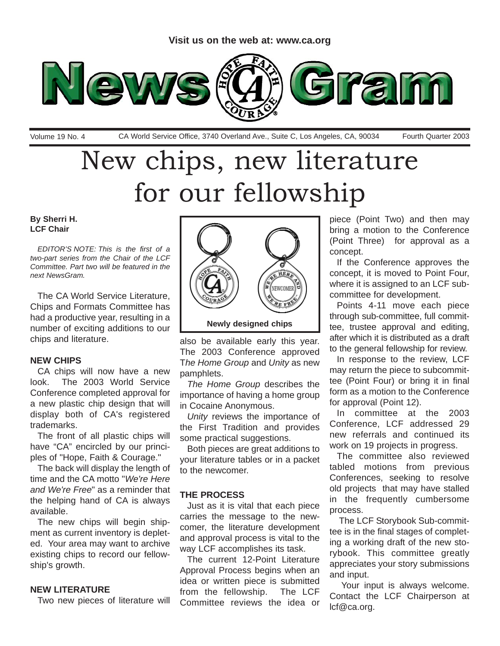

Volume 19 No. 4 CA World Service Office, 3740 Overland Ave., Suite C, Los Angeles, CA, 90034 Fourth Quarter 2003

### New chips, new literature for our fellowship

#### **By Sherri H. LCF Chair**

*EDITOR'S NOTE: This is the first of a two-part series from the Chair of the LCF Committee. Part two will be featured in the next NewsGram.*

The CA World Service Literature, Chips and Formats Committee has had a productive year, resulting in a number of exciting additions to our chips and literature.

#### **NEW CHIPS**

CA chips will now have a new look. The 2003 World Service Conference completed approval for a new plastic chip design that will display both of CA's registered trademarks.

The front of all plastic chips will have "CA" encircled by our principles of "Hope, Faith & Courage."

The back will display the length of time and the CA motto "*We're Here and We're Free*" as a reminder that the helping hand of CA is always available.

The new chips will begin shipment as current inventory is depleted. Your area may want to archive existing chips to record our fellowship's growth.

#### **NEW LITERATURE**

Two new pieces of literature will



also be available early this year. The 2003 Conference approved T*he Home Group* and *Unity* as new pamphlets.

*The Home Group* describes the importance of having a home group in Cocaine Anonymous.

*Unity* reviews the importance of the First Tradition and provides some practical suggestions.

Both pieces are great additions to your literature tables or in a packet to the newcomer.

#### **THE PROCESS**

Just as it is vital that each piece carries the message to the newcomer, the literature development and approval process is vital to the way LCF accomplishes its task.

The current 12-Point Literature Approval Process begins when an idea or written piece is submitted from the fellowship. The LCF Committee reviews the idea or piece (Point Two) and then may bring a motion to the Conference (Point Three) for approval as a concept.

If the Conference approves the concept, it is moved to Point Four, where it is assigned to an LCF subcommittee for development.

Points 4-11 move each piece through sub-committee, full committee, trustee approval and editing, after which it is distributed as a draft to the general fellowship for review.

In response to the review, LCF may return the piece to subcommittee (Point Four) or bring it in final form as a motion to the Conference for approval (Point 12).

In committee at the 2003 Conference, LCF addressed 29 new referrals and continued its work on 19 projects in progress.

The committee also reviewed tabled motions from previous Conferences, seeking to resolve old projects that may have stalled in the frequently cumbersome process.

The LCF Storybook Sub-committee is in the final stages of completing a working draft of the new storybook. This committee greatly appreciates your story submissions and input.

Your input is always welcome. Contact the LCF Chairperson at lcf@ca.org.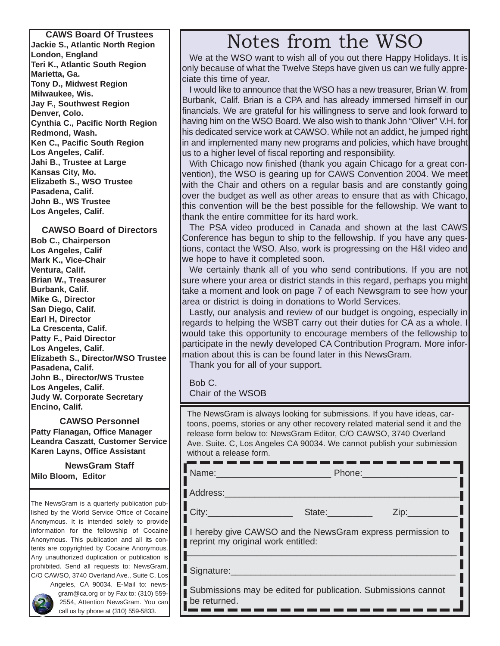**Jackie S., Atlantic North Region London, England Teri K., Atlantic South Region Marietta, Ga. Tony D., Midwest Region Milwaukee, Wis. Jay F., Southwest Region Denver, Colo. Cynthia C., Pacific North Region Redmond, Wash. Ken C., Pacific South Region Los Angeles, Calif. Jahi B., Trustee at Large Kansas City, Mo. Elizabeth S., WSO Trustee Pasadena, Calif. John B., WS Trustee Los Angeles, Calif.**

#### **CAWSO Board of Directors**

**Bob C., Chairperson Los Angeles, Calif Mark K., Vice-Chair Ventura, Calif. Brian W., Treasurer Burbank, Calif. Mike G., Director San Diego, Calif. Earl H, Director La Crescenta, Calif. Patty F., Paid Director Los Angeles, Calif. Elizabeth S., Director/WSO Trustee Pasadena, Calif. John B., Director/WS Trustee Los Angeles, Calif. Judy W. Corporate Secretary Encino, Calif.**

**CAWSO Personnel Patty Flanagan, Office Manager Leandra Caszatt, Customer Service Karen Layns, Office Assistant**

**NewsGram Staff Milo Bloom, Editor**

The NewsGram is a quarterly publication published by the World Service Office of Cocaine Anonymous. It is intended solely to provide information for the fellowship of Cocaine Anonymous. This publication and all its contents are copyrighted by Cocaine Anonymous. Any unauthorized duplication or publication is prohibited. Send all requests to: NewsGram, C/O CAWSO, 3740 Overland Ave., Suite C, Los



Angeles, CA 90034. E-Mail to: newsgram@ca.org or by Fax to: (310) 559- 2554, Attention NewsGram. You can call us by phone at (310) 559-5833.

### CAWS Board Of Trustees<br>kie S., Atlantic North Region **CONCERTIAN INCORDITY** NOTES from the WSO

We at the WSO want to wish all of you out there Happy Holidays. It is only because of what the Twelve Steps have given us can we fully appreciate this time of year.

I would like to announce that the WSO has a new treasurer, Brian W. from Burbank, Calif. Brian is a CPA and has already immersed himself in our financials. We are grateful for his willingness to serve and look forward to having him on the WSO Board. We also wish to thank John "Oliver" V.H. for his dedicated service work at CAWSO. While not an addict, he jumped right in and implemented many new programs and policies, which have brought us to a higher level of fiscal reporting and responsibility.

With Chicago now finished (thank you again Chicago for a great convention), the WSO is gearing up for CAWS Convention 2004. We meet with the Chair and others on a regular basis and are constantly going over the budget as well as other areas to ensure that as with Chicago, this convention will be the best possible for the fellowship. We want to thank the entire committee for its hard work.

The PSA video produced in Canada and shown at the last CAWS Conference has begun to ship to the fellowship. If you have any questions, contact the WSO. Also, work is progressing on the H&I video and we hope to have it completed soon.

We certainly thank all of you who send contributions. If you are not sure where your area or district stands in this regard, perhaps you might take a moment and look on page 7 of each Newsgram to see how your area or district is doing in donations to World Services.

Lastly, our analysis and review of our budget is ongoing, especially in regards to helping the WSBT carry out their duties for CA as a whole. I would take this opportunity to encourage members of the fellowship to participate in the newly developed CA Contribution Program. More information about this is can be found later in this NewsGram.

Thank you for all of your support.

Bob C.

Chair of the WSOB

The NewsGram is always looking for submissions. If you have ideas, cartoons, poems, stories or any other recovery related material send it and the release form below to: NewsGram Editor, C/O CAWSO, 3740 Overland Ave. Suite. C, Los Angeles CA 90034. We cannot publish your submission without a release form.<br>**And we use you we use you we use you we use you we** use you

Name:\_\_\_\_\_\_\_\_\_\_\_\_\_\_\_\_\_\_\_\_\_\_\_ Phone:\_\_\_\_\_\_\_\_\_\_\_\_\_\_\_\_\_\_\_

П

П

Address:

City:\_\_\_\_\_\_\_\_\_\_\_\_\_\_\_\_\_ State:\_\_\_\_\_\_\_\_\_ Zip:\_\_\_\_\_\_\_\_\_\_

ı

н I hereby give CAWSO and the NewsGram express permission to reprint my original work entitled: \_\_\_\_\_\_\_\_\_\_\_\_\_\_\_\_\_\_\_\_\_\_\_\_\_\_\_\_\_\_\_\_\_\_\_\_\_\_\_\_\_\_\_\_\_\_\_\_\_\_\_\_\_\_

Signature:

П Submissions may be edited for publication. Submissions cannot be returned.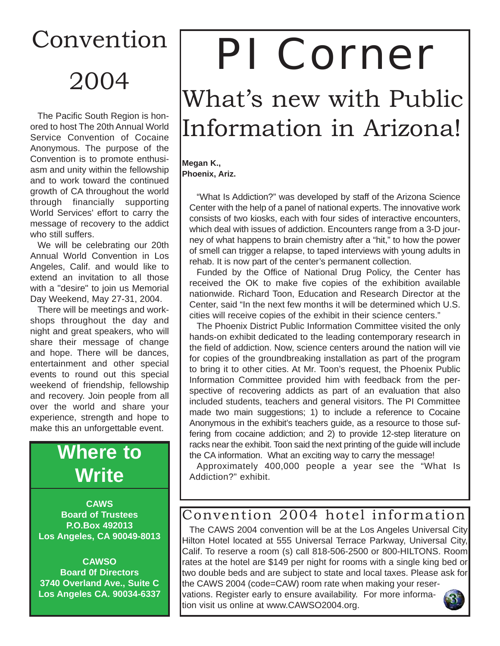## Convention 2004

The Pacific South Region is honored to host The 20th Annual World Service Convention of Cocaine Anonymous. The purpose of the Convention is to promote enthusiasm and unity within the fellowship and to work toward the continued growth of CA throughout the world through financially supporting World Services' effort to carry the message of recovery to the addict who still suffers.

We will be celebrating our 20th Annual World Convention in Los Angeles, Calif. and would like to extend an invitation to all those with a "desire" to join us Memorial Day Weekend, May 27-31, 2004.

There will be meetings and workshops throughout the day and night and great speakers, who will share their message of change and hope. There will be dances, entertainment and other special events to round out this special weekend of friendship, fellowship and recovery. Join people from all over the world and share your experience, strength and hope to make this an unforgettable event.

### **Where to Write**

**CAWS Board of Trustees P.O.Box 492013 Los Angeles, CA 90049-8013**

**CAWSO Board 0f Directors 3740 Overland Ave., Suite C Los Angeles CA. 90034-6337**

# PI Corner

### What's new with Public Information in Arizona!

**Megan K., Phoenix, Ariz.**

> "What Is Addiction?" was developed by staff of the Arizona Science Center with the help of a panel of national experts. The innovative work consists of two kiosks, each with four sides of interactive encounters, which deal with issues of addiction. Encounters range from a 3-D journey of what happens to brain chemistry after a "hit," to how the power of smell can trigger a relapse, to taped interviews with young adults in rehab. It is now part of the center's permanent collection.

> Funded by the Office of National Drug Policy, the Center has received the OK to make five copies of the exhibition available nationwide. Richard Toon, Education and Research Director at the Center, said "In the next few months it will be determined which U.S. cities will receive copies of the exhibit in their science centers."

> The Phoenix District Public Information Committee visited the only hands-on exhibit dedicated to the leading contemporary research in the field of addiction. Now, science centers around the nation will vie for copies of the groundbreaking installation as part of the program to bring it to other cities. At Mr. Toon's request, the Phoenix Public Information Committee provided him with feedback from the perspective of recovering addicts as part of an evaluation that also included students, teachers and general visitors. The PI Committee made two main suggestions; 1) to include a reference to Cocaine Anonymous in the exhibit's teachers guide, as a resource to those suffering from cocaine addiction; and 2) to provide 12-step literature on racks near the exhibit. Toon said the next printing of the guide will include the CA information. What an exciting way to carry the message!

> Approximately 400,000 people a year see the "What Is Addiction?" exhibit.

#### Convention 2004 hotel information

The CAWS 2004 convention will be at the Los Angeles Universal City Hilton Hotel located at 555 Universal Terrace Parkway, Universal City, Calif. To reserve a room (s) call 818-506-2500 or 800-HILTONS. Room rates at the hotel are \$149 per night for rooms with a single king bed or two double beds and are subject to state and local taxes. Please ask for the CAWS 2004 (code=CAW) room rate when making your reser-

vations. Register early to ensure availability. For more information visit us online at www.CAWSO2004.org.

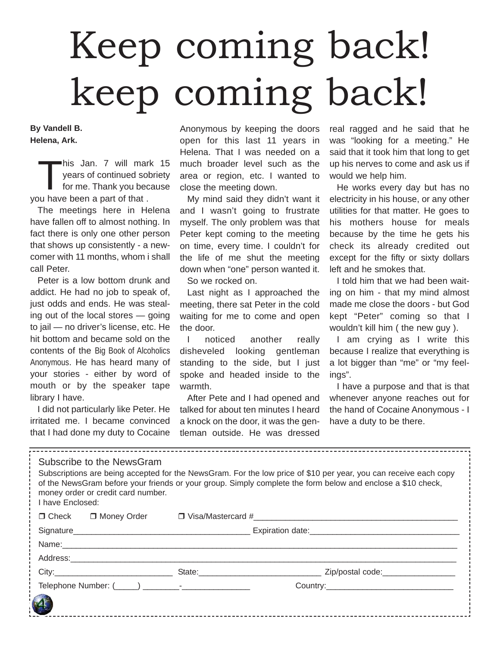# Keep coming back! keep coming back!

**By Vandell B. Helena, Ark.** 

his Jan. 7 will mark 15<br>years of continued sobriety<br>for me. Thank you because years of continued sobriety for me. Thank you because you have been a part of that .

The meetings here in Helena have fallen off to almost nothing. In fact there is only one other person that shows up consistently - a newcomer with 11 months, whom i shall call Peter.

Peter is a low bottom drunk and addict. He had no job to speak of, just odds and ends. He was stealing out of the local stores — going to jail — no driver's license, etc. He hit bottom and became sold on the contents of the Big Book of Alcoholics Anonymous. He has heard many of your stories - either by word of mouth or by the speaker tape library I have.

I did not particularly like Peter. He irritated me. I became convinced that I had done my duty to Cocaine

Anonymous by keeping the doors open for this last 11 years in Helena. That I was needed on a much broader level such as the area or region, etc. I wanted to close the meeting down.

My mind said they didn't want it and I wasn't going to frustrate myself. The only problem was that Peter kept coming to the meeting on time, every time. I couldn't for the life of me shut the meeting down when "one" person wanted it. So we rocked on.

Last night as I approached the meeting, there sat Peter in the cold waiting for me to come and open the door.

I noticed another really disheveled looking gentleman standing to the side, but I just spoke and headed inside to the warmth.

After Pete and I had opened and talked for about ten minutes I heard a knock on the door, it was the gentleman outside. He was dressed

real ragged and he said that he was "looking for a meeting." He said that it took him that long to get up his nerves to come and ask us if would we help him.

He works every day but has no electricity in his house, or any other utilities for that matter. He goes to his mothers house for meals because by the time he gets his check its already credited out except for the fifty or sixty dollars left and he smokes that.

I told him that we had been waiting on him - that my mind almost made me close the doors - but God kept "Peter" coming so that I wouldn't kill him ( the new guy ).

I am crying as I write this because I realize that everything is a lot bigger than "me" or "my feelings".

I have a purpose and that is that whenever anyone reaches out for the hand of Cocaine Anonymous - I have a duty to be there.

| Subscribe to the NewsGram<br>Subscriptions are being accepted for the NewsGram. For the low price of \$10 per year, you can receive each copy<br>of the NewsGram before your friends or your group. Simply complete the form below and enclose a \$10 check,<br>money order or credit card number.<br>I have Enclosed: |  |             |                                                                                                                      |  |  |  |  |  |
|------------------------------------------------------------------------------------------------------------------------------------------------------------------------------------------------------------------------------------------------------------------------------------------------------------------------|--|-------------|----------------------------------------------------------------------------------------------------------------------|--|--|--|--|--|
|                                                                                                                                                                                                                                                                                                                        |  |             | $\Box$ Check $\Box$ Money Order $\Box$ Visa/Mastercard #                                                             |  |  |  |  |  |
|                                                                                                                                                                                                                                                                                                                        |  |             |                                                                                                                      |  |  |  |  |  |
|                                                                                                                                                                                                                                                                                                                        |  | Name: Name: |                                                                                                                      |  |  |  |  |  |
|                                                                                                                                                                                                                                                                                                                        |  |             |                                                                                                                      |  |  |  |  |  |
|                                                                                                                                                                                                                                                                                                                        |  |             | City:___________________________________State:__________________________________ Zip/postal code:___________________ |  |  |  |  |  |
|                                                                                                                                                                                                                                                                                                                        |  |             |                                                                                                                      |  |  |  |  |  |
|                                                                                                                                                                                                                                                                                                                        |  |             |                                                                                                                      |  |  |  |  |  |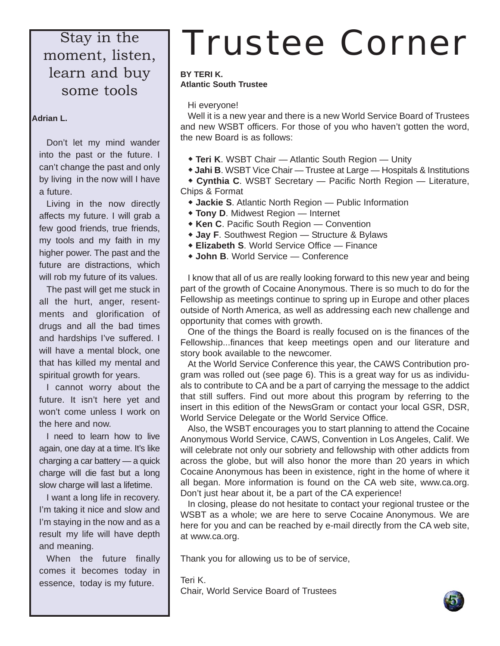Stay in the moment, listen, learn and buy some tools

#### **Adrian L.**

Don't let my mind wander into the past or the future. I can't change the past and only by living in the now will I have a future.

Living in the now directly affects my future. I will grab a few good friends, true friends, my tools and my faith in my higher power. The past and the future are distractions, which will rob my future of its values.

The past will get me stuck in all the hurt, anger, resentments and glorification of drugs and all the bad times and hardships I've suffered. I will have a mental block, one that has killed my mental and spiritual growth for years.

I cannot worry about the future. It isn't here yet and won't come unless I work on the here and now.

I need to learn how to live again, one day at a time. It's like charging a car battery — a quick charge will die fast but a long slow charge will last a lifetime.

I want a long life in recovery. I'm taking it nice and slow and I'm staying in the now and as a result my life will have depth and meaning.

When the future finally comes it becomes today in essence, today is my future.

## Trustee Corner

#### **BY TERI K. Atlantic South Trustee**

Hi everyone!

Well it is a new year and there is a new World Service Board of Trustees and new WSBT officers. For those of you who haven't gotten the word, the new Board is as follows:

- **Teri K. WSBT Chair Atlantic South Region Unity**
- " **Jahi B**. WSBT Vice Chair Trustee at Large Hospitals & Institutions

" **Cynthia C**. WSBT Secretary — Pacific North Region — Literature, Chips & Format

- **+ Jackie S.** Atlantic North Region Public Information
- **Tony D. Midwest Region Internet**
- **Ken C. Pacific South Region Convention**
- ◆ **Jay F**. Southwest Region Structure & Bylaws
- **Elizabeth S. World Service Office Finance**
- " **John B**. World Service Conference

I know that all of us are really looking forward to this new year and being part of the growth of Cocaine Anonymous. There is so much to do for the Fellowship as meetings continue to spring up in Europe and other places outside of North America, as well as addressing each new challenge and opportunity that comes with growth.

One of the things the Board is really focused on is the finances of the Fellowship...finances that keep meetings open and our literature and story book available to the newcomer.

At the World Service Conference this year, the CAWS Contribution program was rolled out (see page 6). This is a great way for us as individuals to contribute to CA and be a part of carrying the message to the addict that still suffers. Find out more about this program by referring to the insert in this edition of the NewsGram or contact your local GSR, DSR, World Service Delegate or the World Service Office.

Also, the WSBT encourages you to start planning to attend the Cocaine Anonymous World Service, CAWS, Convention in Los Angeles, Calif. We will celebrate not only our sobriety and fellowship with other addicts from across the globe, but will also honor the more than 20 years in which Cocaine Anonymous has been in existence, right in the home of where it all began. More information is found on the CA web site, www.ca.org. Don't just hear about it, be a part of the CA experience!

In closing, please do not hesitate to contact your regional trustee or the WSBT as a whole; we are here to serve Cocaine Anonymous. We are here for you and can be reached by e-mail directly from the CA web site, at www.ca.org.

Thank you for allowing us to be of service,

Teri K. Chair, World Service Board of Trustees

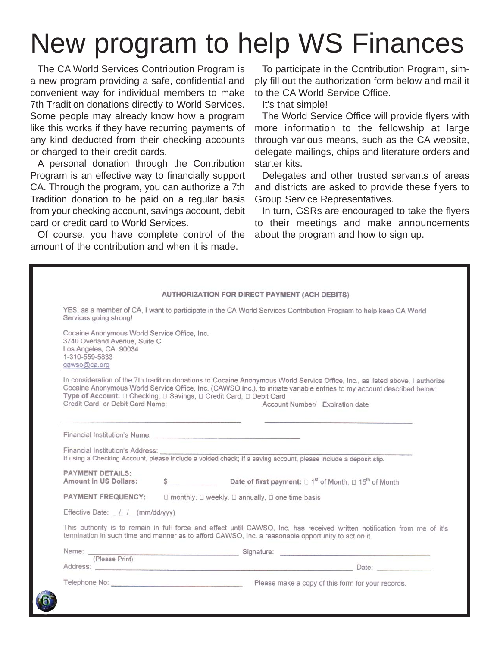## New program to help WS Finances

The CA World Services Contribution Program is a new program providing a safe, confidential and convenient way for individual members to make 7th Tradition donations directly to World Services. Some people may already know how a program like this works if they have recurring payments of any kind deducted from their checking accounts or charged to their credit cards.

A personal donation through the Contribution Program is an effective way to financially support CA. Through the program, you can authorize a 7th Tradition donation to be paid on a regular basis from your checking account, savings account, debit card or credit card to World Services.

Of course, you have complete control of the amount of the contribution and when it is made.

To participate in the Contribution Program, simply fill out the authorization form below and mail it to the CA World Service Office.

It's that simple!

The World Service Office will provide flyers with more information to the fellowship at large through various means, such as the CA website, delegate mailings, chips and literature orders and starter kits.

Delegates and other trusted servants of areas and districts are asked to provide these flyers to Group Service Representatives.

In turn, GSRs are encouraged to take the flyers to their meetings and make announcements about the program and how to sign up.

| Services going strong!                                                                                                                   | YES, as a member of CA, I want to participate in the CA World Services Contribution Program to help keep CA World                                                                                                                                                                           |
|------------------------------------------------------------------------------------------------------------------------------------------|---------------------------------------------------------------------------------------------------------------------------------------------------------------------------------------------------------------------------------------------------------------------------------------------|
| Cocaine Anonymous World Service Office, Inc.<br>3740 Overland Avenue, Suite C<br>Los Angeles, CA 90034<br>1-310-559-5833<br>cawso@ca.org |                                                                                                                                                                                                                                                                                             |
| Type of Account: $\Box$ Checking, $\Box$ Savings, $\Box$ Credit Card, $\Box$ Debit Card<br>Credit Card, or Debit Card Name:              | In consideration of the 7th tradition donations to Cocaine Anonymous World Service Office, Inc., as listed above, I authorize<br>Cocaine Anonymous World Service Office, Inc. (CAWSO, Inc.), to initiate variable entries to my account described below:<br>Account Number/ Expiration date |
|                                                                                                                                          |                                                                                                                                                                                                                                                                                             |
| Financial Institution's Address:                                                                                                         | If using a Checking Account, please include a voided check; If a saving account, please include a deposit slip,                                                                                                                                                                             |
| <b>PAYMENT DETAILS:</b><br><b>Amount in US Dollars:</b>                                                                                  | \$ Date of first payment: $\square$ 1 <sup>st</sup> of Month, $\square$ 15 <sup>th</sup> of Month                                                                                                                                                                                           |
| <b>PAYMENT FREQUENCY:</b>                                                                                                                | □ monthly, □ weekly, □ annually, □ one time basis                                                                                                                                                                                                                                           |
| Effective Date: / / (mm/dd/vvv)                                                                                                          |                                                                                                                                                                                                                                                                                             |
|                                                                                                                                          | This authority is to remain in full force and effect until CAWSO, Inc. has received written notification from me of it's<br>termination in such time and manner as to afford CAWSO, Inc. a reasonable opportunity to act on it.                                                             |
|                                                                                                                                          | Name: Signature: Signature: Signature: Signature: Signature: Signature: Signature: Signature: Signature: Signature: Signature: Signature: Signature: Signature: Signature: Signature: Signature: Signature: Signature: Signatu                                                              |
| (Please Print)                                                                                                                           |                                                                                                                                                                                                                                                                                             |
|                                                                                                                                          |                                                                                                                                                                                                                                                                                             |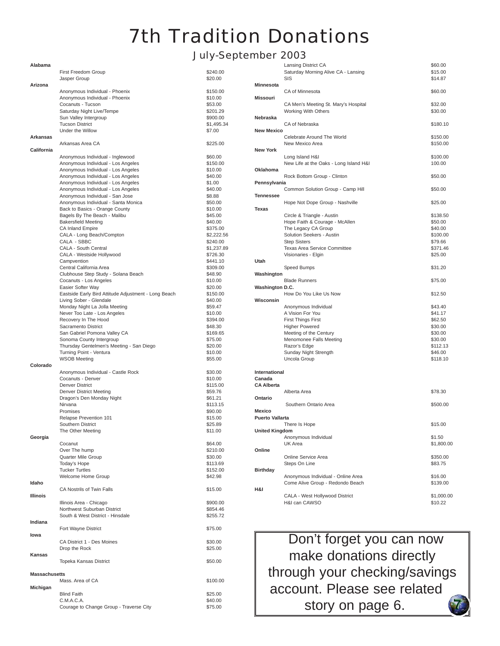### 7th Tradition Donations

#### July-September 2003

| Alabama              |                                                                          |                        |  |
|----------------------|--------------------------------------------------------------------------|------------------------|--|
|                      | <b>First Freedom Group</b>                                               | \$240.00               |  |
|                      | Jasper Group                                                             | \$20.00                |  |
| Arizona              |                                                                          |                        |  |
|                      | Anonymous Individual - Phoenix                                           | \$150.00               |  |
|                      | Anonymous Individual - Phoenix<br>Cocanuts - Tucson                      | \$10.00<br>\$53.00     |  |
|                      | Saturday Night Live/Tempe                                                | \$201.29               |  |
|                      | Sun Valley Intergroup                                                    | \$900.00               |  |
|                      | <b>Tucson District</b>                                                   | \$1,495.34             |  |
|                      | Under the Willow                                                         | \$7.00                 |  |
| Arkansas             |                                                                          |                        |  |
| California           | Arkansas Area CA                                                         | \$225.00               |  |
|                      | Anonymous Individual - Inglewood                                         | \$60.00                |  |
|                      | Anonymous Individual - Los Angeles                                       | \$150.00               |  |
|                      | Anonymous Individual - Los Angeles                                       | \$10.00                |  |
|                      | Anonymous Individual - Los Angeles                                       | \$40.00                |  |
|                      | Anonymous Individual - Los Angeles<br>Anonymous Individual - Los Angeles | \$1.00<br>\$40.00      |  |
|                      | Anonymous Individual - San Jose                                          | \$8.88                 |  |
|                      | Anonymous Individual - Santa Monica                                      | \$50.00                |  |
|                      | Back to Basics - Orange County                                           | \$10.00                |  |
|                      | Bagels By The Beach - Malibu                                             | \$45.00                |  |
|                      | <b>Bakersfield Meeting</b>                                               | \$40.00                |  |
|                      | <b>CA Inland Empire</b><br>CALA - Long Beach/Compton                     | \$375.00<br>\$2,222.56 |  |
|                      | CALA - SBBC                                                              | \$240.00               |  |
|                      | CALA - South Central                                                     | \$1,237.89             |  |
|                      | CALA - Westside Hollywood                                                | \$726.30               |  |
|                      | Campvention                                                              | \$441.10               |  |
|                      | Central California Area                                                  | \$309.00               |  |
|                      | Clubhouse Step Study - Solana Beach                                      | \$48.90                |  |
|                      | Cocanuts - Los Angeles<br>Easier Softer Way                              | \$10.00<br>\$20.00     |  |
|                      | Eastside Early Bird Attitude Adjustment - Long Beach                     | \$150.00               |  |
|                      | Living Sober - Glendale                                                  | \$40.00                |  |
|                      | Monday Night La Jolla Meeting                                            | \$59.47                |  |
|                      | Never Too Late - Los Angeles                                             | \$10.00                |  |
|                      | Recovery In The Hood<br>Sacramento District                              | \$394.00               |  |
|                      | San Gabriel Pomona Valley CA                                             | \$48.30<br>\$169.65    |  |
|                      | Sonoma County Intergroup                                                 | \$75.00                |  |
|                      | Thursday Gentelmen's Meeting - San Diego                                 | \$20.00                |  |
|                      | Turning Point - Ventura                                                  | \$10.00                |  |
|                      | <b>WSOB Meeting</b>                                                      | \$55.00                |  |
| Colorado             | Anonymous Individual - Castle Rock                                       | \$30.00                |  |
|                      | Cocanuts - Denver                                                        | \$10.00                |  |
|                      | Denver District                                                          | \$115.00               |  |
|                      | Denver District Meeting                                                  | \$59.76                |  |
|                      | Dragon's Den Monday Night                                                | \$61.21                |  |
|                      | Nirvana<br>Promises                                                      | \$113.15               |  |
|                      | Relapse Prevention 101                                                   | \$90.00<br>\$15.00     |  |
|                      | Southern District                                                        | \$25.89                |  |
|                      | The Other Meeting                                                        | \$11.00                |  |
| Georgia              |                                                                          |                        |  |
|                      | Cocanut                                                                  | \$64.00                |  |
|                      | Over The hump                                                            | \$210.00               |  |
|                      | Quarter Mile Group<br>Today's Hope                                       | \$30.00<br>\$113.69    |  |
|                      | <b>Tucker Turtles</b>                                                    | \$152.00               |  |
|                      | Welcome Home Group                                                       | \$42.98                |  |
| Idaho                |                                                                          |                        |  |
|                      | CA Nostrils of Twin Falls                                                | \$15.00                |  |
| Illinois             | Illinois Area - Chicago                                                  | \$900.00               |  |
|                      | Northwest Suburban District                                              | \$854.46               |  |
|                      | South & West District - Hinsdale                                         | \$255.72               |  |
| Indiana              |                                                                          |                        |  |
|                      | Fort Wayne District                                                      | \$75.00                |  |
| lowa                 |                                                                          |                        |  |
|                      | CA District 1 - Des Moines<br>Drop the Rock                              | \$30.00                |  |
| Kansas               |                                                                          | \$25.00                |  |
|                      | Topeka Kansas District                                                   | \$50.00                |  |
|                      |                                                                          |                        |  |
| <b>Massachusetts</b> |                                                                          |                        |  |
|                      | Mass. Area of CA                                                         | \$100.00               |  |
| Michigan             | <b>Blind Faith</b>                                                       |                        |  |
|                      | C.M.A.C.A.                                                               | \$25.00<br>\$40.00     |  |
|                      | Courage to Change Group - Traverse City                                  | \$75.00                |  |

|                        | Lansing District CA                    | \$60.00    |
|------------------------|----------------------------------------|------------|
|                        | Saturday Morning Alive CA - Lansing    | \$15.00    |
|                        | SIS                                    | \$14.87    |
| <b>Minnesota</b>       |                                        |            |
|                        | CA of Minnesota                        | \$60.00    |
| <b>Missouri</b>        |                                        |            |
|                        | CA Men's Meeting St. Mary's Hospital   | \$32.00    |
|                        | <b>Working With Others</b>             | \$30.00    |
| Nebraska               |                                        |            |
|                        | CA of Nebraska                         | \$180.10   |
| <b>New Mexico</b>      |                                        |            |
|                        | Celebrate Around The World             | \$150.00   |
|                        | New Mexico Area                        |            |
|                        |                                        | \$150.00   |
| <b>New York</b>        |                                        |            |
|                        | Long Island H&I                        | \$100.00   |
|                        | New Life at the Oaks - Long Island H&I | 100.00     |
| Oklahoma               |                                        |            |
|                        | Rock Bottom Group - Clinton            | \$50.00    |
| Pennsylvania           |                                        |            |
|                        | Common Solution Group - Camp Hill      | \$50.00    |
| Tennessee              |                                        |            |
|                        | Hope Not Dope Group - Nashville        | \$25.00    |
| Texas                  |                                        |            |
|                        | Circle & Triangle - Austin             | \$138.50   |
|                        | Hope Faith & Courage - McAllen         | \$50.00    |
|                        | The Legacy CA Group                    | \$40.00    |
|                        | Solution Seekers - Austin              | \$100.00   |
|                        | <b>Step Sisters</b>                    | \$79.66    |
|                        |                                        |            |
|                        | <b>Texas Area Service Committee</b>    | \$371.46   |
|                        | Visionaries - Elgin                    | \$25.00    |
| Utah                   |                                        |            |
|                        | Speed Bumps                            | \$31.20    |
| Washington             |                                        |            |
|                        | <b>Blade Runners</b>                   | \$75.00    |
| Washington D.C.        |                                        |            |
|                        | How Do You Like Us Now                 | \$12.50    |
| Wisconsin              |                                        |            |
|                        | Anonymous Individual                   | \$43.40    |
|                        | A Vision For You                       | \$41.17    |
|                        | <b>First Things First</b>              | \$62.50    |
|                        | <b>Higher Powered</b>                  | \$30.00    |
|                        | Meeting of the Century                 | \$30.00    |
|                        | Menomonee Falls Meeting                | \$30.00    |
|                        | Razor's Edge                           | \$112.13   |
|                        | Sunday Night Strength                  | \$46.00    |
|                        |                                        |            |
|                        | Uncola Group                           | \$118.10   |
|                        |                                        |            |
| International          |                                        |            |
| Canada                 |                                        |            |
| <b>CA Alberta</b>      |                                        |            |
|                        | Alberta Area                           | \$78.30    |
| Ontario                |                                        |            |
|                        | Southern Ontario Area                  | \$500.00   |
| Mexico                 |                                        |            |
| <b>Puerto Vallarta</b> |                                        |            |
|                        | There Is Hope                          | \$15.00    |
| <b>United Kingdom</b>  |                                        |            |
|                        | Anonymous Individual                   | \$1.50     |
|                        | UK Area                                | \$1,800.00 |
| Online                 |                                        |            |
|                        |                                        |            |
|                        | Online Service Area                    | \$350.00   |
|                        | Steps On Line                          | \$83.75    |
| <b>Birthday</b>        |                                        |            |
|                        | Anonymous Individual - Online Area     | \$16.00    |
|                        | Come Alive Group - Redondo Beach       | \$139.00   |
| H&I                    |                                        |            |
|                        | CALA - West Hollywood District         | \$1,000.00 |
|                        | H&I can CAWSO                          | \$10.22    |

Don't forget you can now make donations directly through your checking/savings account. Please see related story on page 6.